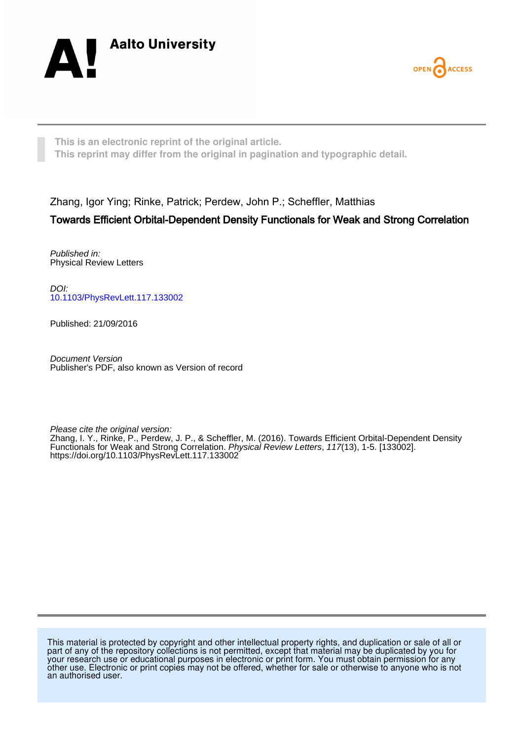



**This is an electronic reprint of the original article. This reprint may differ from the original in pagination and typographic detail.**

Zhang, Igor Ying; Rinke, Patrick; Perdew, John P.; Scheffler, Matthias

## Towards Efficient Orbital-Dependent Density Functionals for Weak and Strong Correlation

Published in: Physical Review Letters

DOI: [10.1103/PhysRevLett.117.133002](https://doi.org/10.1103/PhysRevLett.117.133002)

Published: 21/09/2016

Document Version Publisher's PDF, also known as Version of record

Please cite the original version:

Zhang, I. Y., Rinke, P., Perdew, J. P., & Scheffler, M. (2016). Towards Efficient Orbital-Dependent Density Functionals for Weak and Strong Correlation. Physical Review Letters, 117(13), 1-5. [133002]. <https://doi.org/10.1103/PhysRevLett.117.133002>

This material is protected by copyright and other intellectual property rights, and duplication or sale of all or part of any of the repository collections is not permitted, except that material may be duplicated by you for your research use or educational purposes in electronic or print form. You must obtain permission for any other use. Electronic or print copies may not be offered, whether for sale or otherwise to anyone who is not an authorised user.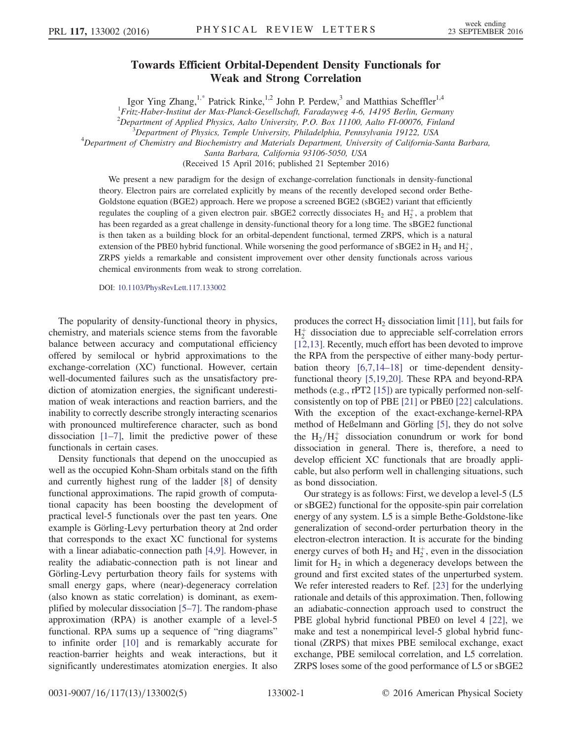## Towards Efficient Orbital-Dependent Density Functionals for Weak and Strong Correlation

Igor Ying Zhang,<sup>[1,\\*](#page-5-0)</sup> Patrick Rinke,<sup>1,2</sup> John P. Perdew,<sup>3</sup> and Matthias Scheffler<sup>1,4</sup>

<sup>1</sup> Fritz-Haber-Institut der Max-Planck-Gesellschaft, Faradayweg 4-6, 14195 Berlin, Germany

<sup>2</sup>Department of Applied Physics, Aalto University, P.O. Box 11100, Aalto F1-00076, Finland  $\frac{3}{2}$ Department of Physics, Tample University, Philadelphia, Bennewhania, 10132, USA

 ${}^{3}$ Department of Physics, Temple University, Philadelphia, Pennsylvania 19122, USA

<span id="page-1-0"></span> $^{4}$ Department of Chemistry and Biochemistry and Materials Department, University of California-Santa Barbara,

Santa Barbara, California 93106-5050, USA

(Received 15 April 2016; published 21 September 2016)

We present a new paradigm for the design of exchange-correlation functionals in density-functional theory. Electron pairs are correlated explicitly by means of the recently developed second order Bethe-Goldstone equation (BGE2) approach. Here we propose a screened BGE2 (sBGE2) variant that efficiently regulates the coupling of a given electron pair. sBGE2 correctly dissociates  $H_2$  and  $H_2^+$ , a problem that has been regarded as a great challenge in density-functional theory for a long time. The sBGE2 functional is then taken as a building block for an orbital-dependent functional, termed ZRPS, which is a natural extension of the PBE0 hybrid functional. While worsening the good performance of sBGE2 in  $H_2$  and  $H_2^+$ , ZRPS yields a remarkable and consistent improvement over other density functionals across various chemical environments from weak to strong correlation.

DOI: [10.1103/PhysRevLett.117.133002](http://dx.doi.org/10.1103/PhysRevLett.117.133002)

The popularity of density-functional theory in physics, chemistry, and materials science stems from the favorable balance between accuracy and computational efficiency offered by semilocal or hybrid approximations to the exchange-correlation (XC) functional. However, certain well-documented failures such as the unsatisfactory prediction of atomization energies, the significant underestimation of weak interactions and reaction barriers, and the inability to correctly describe strongly interacting scenarios with pronounced multireference character, such as bond dissociation  $[1–7]$  $[1–7]$ , limit the predictive power of these functionals in certain cases.

Density functionals that depend on the unoccupied as well as the occupied Kohn-Sham orbitals stand on the fifth and currently highest rung of the ladder [\[8\]](#page-5-2) of density functional approximations. The rapid growth of computational capacity has been boosting the development of practical level-5 functionals over the past ten years. One example is Görling-Levy perturbation theory at 2nd order that corresponds to the exact XC functional for systems with a linear adiabatic-connection path [\[4,9\].](#page-5-3) However, in reality the adiabatic-connection path is not linear and Görling-Levy perturbation theory fails for systems with small energy gaps, where (near)-degeneracy correlation (also known as static correlation) is dominant, as exemplified by molecular dissociation [5–[7\].](#page-5-4) The random-phase approximation (RPA) is another example of a level-5 functional. RPA sums up a sequence of "ring diagrams" to infinite order [\[10\]](#page-5-5) and is remarkably accurate for reaction-barrier heights and weak interactions, but it significantly underestimates atomization energies. It also produces the correct  $H_2$  dissociation limit [\[11\],](#page-5-6) but fails for  $H_2^+$  dissociation due to appreciable self-correlation errors [\[12,13\]](#page-5-7). Recently, much effort has been devoted to improve the RPA from the perspective of either many-body perturbation theory [\[6,7,14](#page-5-8)–18] or time-dependent densityfunctional theory [\[5,19,20\]](#page-5-4). These RPA and beyond-RPA methods (e.g., rPT2 [\[15\]](#page-5-9)) are typically performed non-selfconsistently on top of PBE [\[21\]](#page-5-10) or PBE0 [\[22\]](#page-5-11) calculations. With the exception of the exact-exchange-kernel-RPA method of Heßelmann and Görling [\[5\],](#page-5-4) they do not solve the  $H_2/H_2^+$  dissociation conundrum or work for bond dissociation in general. There is, therefore, a need to develop efficient XC functionals that are broadly applicable, but also perform well in challenging situations, such as bond dissociation.

Our strategy is as follows: First, we develop a level-5 (L5 or sBGE2) functional for the opposite-spin pair correlation energy of any system. L5 is a simple Bethe-Goldstone-like generalization of second-order perturbation theory in the electron-electron interaction. It is accurate for the binding energy curves of both  $H_2$  and  $H_2^+$ , even in the dissociation limit for  $H_2$  in which a degeneracy develops between the ground and first excited states of the unperturbed system. We refer interested readers to Ref. [\[23\]](#page-5-12) for the underlying rationale and details of this approximation. Then, following an adiabatic-connection approach used to construct the PBE global hybrid functional PBE0 on level 4 [\[22\],](#page-5-11) we make and test a nonempirical level-5 global hybrid functional (ZRPS) that mixes PBE semilocal exchange, exact exchange, PBE semilocal correlation, and L5 correlation. ZRPS loses some of the good performance of L5 or sBGE2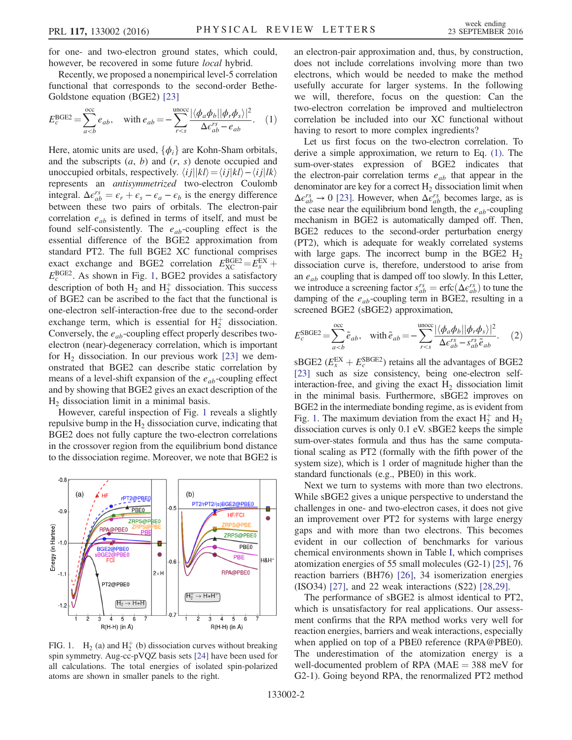for one- and two-electron ground states, which could, however, be recovered in some future *local* hybrid.

<span id="page-2-1"></span>Recently, we proposed a nonempirical level-5 correlation functional that corresponds to the second-order Bethe-Goldstone equation (BGE2) [\[23\]](#page-5-12)

$$
E_c^{\text{BGE2}} = \sum_{a (1)
$$

Here, atomic units are used,  $\{\phi_i\}$  are Kohn-Sham orbitals, and the subscripts  $(a, b)$  and  $(r, s)$  denote occupied and unoccupied orbitals, respectively.  $\langle i j || kl \rangle = \langle i j | kl \rangle - \langle i j | lk \rangle$ represents an antisymmetrized two-electron Coulomb integral.  $\Delta \epsilon_{ab}^{rs} = \epsilon_r + \epsilon_s - \epsilon_a - \epsilon_b$  is the energy difference<br>between these two pairs of orbitals. The electron-pair between these two pairs of orbitals. The electron-pair correlation  $e_{ab}$  is defined in terms of itself, and must be found self-consistently. The  $e_{ab}$ -coupling effect is the essential difference of the BGE2 approximation from standard PT2. The full BGE2 XC functional comprises exact exchange and BGE2 correlation  $E_{\text{XCC}}^{\text{BGE2}} = E_{\text{X}}^{\text{EX}} + E_{\text{BGE2}}^{\text{BGE2}}$  As shown in Fig. 1, BGE2 provides a satisfactory  $E_c^{\text{BGE2}}$ . As shown in Fig. [1](#page-2-0), BGE2 provides a satisfactory description of both  $H_2$  and  $H_2^+$  dissociation. This success of BGE2 can be ascribed to the fact that the functional is one-electron self-interaction-free due to the second-order exchange term, which is essential for  $H_2^+$  dissociation. Conversely, the  $e_{ab}$ -coupling effect properly describes twoelectron (near)-degeneracy correlation, which is important for  $H_2$  dissociation. In our previous work [\[23\]](#page-5-12) we demonstrated that BGE2 can describe static correlation by means of a level-shift expansion of the  $e_{ab}$ -coupling effect and by showing that BGE2 gives an exact description of the  $H<sub>2</sub>$  dissociation limit in a minimal basis.

However, careful inspection of Fig. [1](#page-2-0) reveals a slightly repulsive bump in the  $H<sub>2</sub>$  dissociation curve, indicating that BGE2 does not fully capture the two-electron correlations in the crossover region from the equilibrium bond distance to the dissociation regime. Moreover, we note that BGE2 is

<span id="page-2-0"></span>

FIG. 1.  $H_2$  (a) and  $H_2^+$  (b) dissociation curves without breaking spin symmetry. Aug-cc-pVQZ basis sets [\[24\]](#page-5-17) have been used for all calculations. The total energies of isolated spin-polarized atoms are shown in smaller panels to the right.

an electron-pair approximation and, thus, by construction, does not include correlations involving more than two electrons, which would be needed to make the method usefully accurate for larger systems. In the following we will, therefore, focus on the question: Can the two-electron correlation be improved and multielectron correlation be included into our XC functional without having to resort to more complex ingredients?

Let us first focus on the two-electron correlation. To derive a simple approximation, we return to Eq. [\(1\)](#page-2-1). The sum-over-states expression of BGE2 indicates that the electron-pair correlation terms  $e_{ab}$  that appear in the denominator are key for a correct  $H_2$  dissociation limit when  $\Delta \epsilon_{ab}^{rs} \rightarrow 0$  [\[23\].](#page-5-12) However, when  $\Delta \epsilon_{ab}^{rs}$  becomes large, as is the case near the equilibrium bond length, the  $e_{ab}$ -coupling mechanism in BGE2 is automatically damped off. Then, BGE2 reduces to the second-order perturbation energy (PT2), which is adequate for weakly correlated systems with large gaps. The incorrect bump in the BGE2  $H_2$ dissociation curve is, therefore, understood to arise from an  $e_{ab}$  coupling that is damped off too slowly. In this Letter, we introduce a screening factor  $s_{ab}^{rs} = \text{erfc}(\Delta \epsilon_{ab}^{rs})$  to tune the damping of the *e*  $\epsilon$ -counting term in RGE2 resulting in a damping of the  $e_{ab}$ -coupling term in BGE2, resulting in a screened BGE2 (sBGE2) approximation,

$$
E_c^{\text{SBGE2}} = \sum_{a
$$

 $\text{sBGE2}$  ( $E_{\rm x}^{\rm EX} + E_{\rm c}^{\rm SBGE2}$ ) retains all the advantages of BGE2 (231 such as size consistency being one-electron self-[\[23\]](#page-5-12) such as size consistency, being one-electron selfinteraction-free, and giving the exact  $H_2$  dissociation limit in the minimal basis. Furthermore, sBGE2 improves on BGE2 in the intermediate bonding regime, as is evident from Fig. [1.](#page-2-0) The maximum deviation from the exact  $H_2^+$  and  $H_2$ dissociation curves is only 0.1 eV. sBGE2 keeps the simple sum-over-states formula and thus has the same computational scaling as PT2 (formally with the fifth power of the system size), which is 1 order of magnitude higher than the standard functionals (e.g., PBE0) in this work.

Next we turn to systems with more than two electrons. While sBGE2 gives a unique perspective to understand the challenges in one- and two-electron cases, it does not give an improvement over PT2 for systems with large energy gaps and with more than two electrons. This becomes evident in our collection of benchmarks for various chemical environments shown in Table [I](#page-3-0), which comprises atomization energies of 55 small molecules (G2-1) [\[25\]](#page-5-13), 76 reaction barriers (BH76) [\[26\],](#page-5-14) 34 isomerization energies (ISO34) [\[27\]](#page-5-15), and 22 weak interactions (S22) [\[28,29\].](#page-5-16)

The performance of sBGE2 is almost identical to PT2, which is unsatisfactory for real applications. Our assessment confirms that the RPA method works very well for reaction energies, barriers and weak interactions, especially when applied on top of a PBE0 reference (RPA@PBE0). The underestimation of the atomization energy is a well-documented problem of RPA ( $MAE = 388$  meV for G2-1). Going beyond RPA, the renormalized PT2 method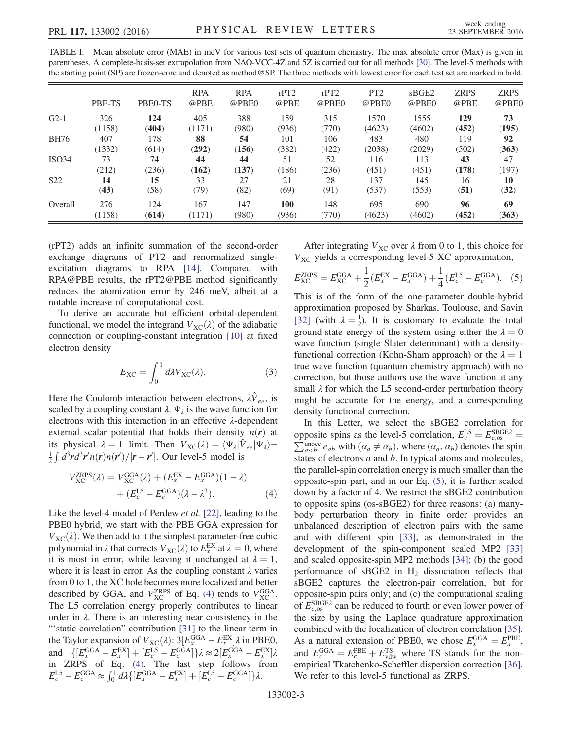<span id="page-3-0"></span>

| TABLE I. Mean absolute error (MAE) in meV for various test sets of quantum chemistry. The max absolute error (Max) is given in              |
|---------------------------------------------------------------------------------------------------------------------------------------------|
| parentheses. A complete-basis-set extrapolation from NAO-VCC-4Z and 5Z is carried out for all methods [30]. The level-5 methods with        |
| the starting point (SP) are frozen-core and denoted as method@SP. The three methods with lowest error for each test set are marked in bold. |

|                 | PBE-TS | PBE <sub>0</sub> -TS | <b>RPA</b><br>@PBE | <b>RPA</b><br>@PBE0 | rPT2<br>@PBE | rPT2<br>@PBE0 | PT <sub>2</sub><br>@PBE0 | sBGE2<br>@PBE0 | <b>ZRPS</b><br>@PBE | <b>ZRPS</b><br>@PBE0 |
|-----------------|--------|----------------------|--------------------|---------------------|--------------|---------------|--------------------------|----------------|---------------------|----------------------|
| $G2-1$          | 326    | 124                  | 405                | 388                 | 159          | 315           | 1570                     | 1555           | 129                 | 73                   |
|                 | (1158) | (404)                | (1171)             | (980)               | (936)        | (770)         | (4623)                   | (4602)         | (452)               | (195)                |
| <b>BH76</b>     | 407    | 178                  | 88                 | 54                  | 101          | 106           | 483                      | 480            | 119                 | 92                   |
|                 | (1332) | (614)                | (292)              | (156)               | (382)        | (422)         | (2038)                   | (2029)         | (502)               | (363)                |
| ISO34           | 73     | 74                   | 44                 | 44                  | 51           | 52            | 116                      | 113            | 43                  | 47                   |
|                 | (212)  | (236)                | (162)              | (137)               | (186)        | (236)         | (451)                    | (451)          | (178)               | (197)                |
| S <sub>22</sub> | 14     | 15                   | 33                 | 27                  | 21           | 28            | 137                      | 145            | 16                  | 10                   |
|                 | (43)   | (58)                 | (79)               | (82)                | (69)         | (91)          | (537)                    | (553)          | (51)                | (32)                 |
| Overall         | 276    | 124                  | 167                | 147                 | <b>100</b>   | 148           | 695                      | 690            | 96                  | 69                   |
|                 | (1158) | (614)                | (1171)             | (980)               | (936)        | (770)         | (4623)                   | (4602)         | (452)               | (363)                |

(rPT2) adds an infinite summation of the second-order exchange diagrams of PT2 and renormalized singleexcitation diagrams to RPA [\[14\].](#page-5-18) Compared with RPA@PBE results, the rPT2@PBE method significantly reduces the atomization error by 246 meV, albeit at a notable increase of computational cost.

To derive an accurate but efficient orbital-dependent functional, we model the integrand  $V_{\text{XC}}(\lambda)$  of the adiabatic connection or coupling-constant integration [\[10\]](#page-5-5) at fixed electron density

$$
E_{\rm XC} = \int_0^1 d\lambda V_{\rm XC}(\lambda). \tag{3}
$$

Here the Coulomb interaction between electrons,  $\lambda \hat{V}_{ee}$ , is scaled by a coupling constant  $\lambda$ .  $\Psi_{\lambda}$  is the wave function for electrons with this interaction in an effective λ-dependent external scalar potential that holds their density  $n(r)$  at its physical  $\lambda = 1$  limit. Then  $V_{\text{XC}}(\lambda) = \langle \Psi_{\lambda} | \hat{V}_{ee} | \Psi_{\lambda} \rangle \frac{1}{2} \int d^3r d^3r' n(r) n(r') / |r - r'|$ . Our level-5 model is

<span id="page-3-1"></span>
$$
V_{XC}^{ZRPS}(\lambda) = V_{XC}^{GGA}(\lambda) + (E_x^{EX} - E_x^{GGA})(1 - \lambda)
$$

$$
+ (E_c^{LS} - E_c^{GGA})(\lambda - \lambda^3). \tag{4}
$$

Like the level-4 model of Perdew et al. [\[22\],](#page-5-11) leading to the PBE0 hybrid, we start with the PBE GGA expression for  $V_{\text{XC}}(\lambda)$ . We then add to it the simplest parameter-free cubic polynomial in  $\lambda$  that corrects  $V_{\text{XC}}(\lambda)$  to  $E_X^{\text{EX}}$  at  $\lambda = 0$ , where it is most in error, while leaving it unchanged at  $\lambda - 1$ . it is most in error, while leaving it unchanged at  $\lambda = 1$ , where it is least in error. As the coupling constant  $\lambda$  varies from 0 to 1, the XC hole becomes more localized and better described by GGA, and  $V_{\text{XC}}^{\text{ZRPS}}$  of Eq. [\(4\)](#page-3-1) tends to  $V_{\text{XC}}^{\text{GGA}}$ . The L5 correlation energy properly contributes to linear order in  $\lambda$ . There is an interesting near consistency in the "'static correlation" contribution [\[31\]](#page-5-19) to the linear term in the Taylor expansion of  $V_{\text{XC}}(\lambda)$ :  $3[E_x^{\text{GGA}} - E_x^{\text{EX}}] \lambda$  in PBEO,<br>and  $\{[E_x^{\text{GGA}} - E_x^{\text{EX}}] + [E_c^{\text{LG}} - E_c^{\text{GGA}}]\} \lambda \approx 2[E_x^{\text{GGA}} - E_x^{\text{EX}}] \lambda$ <br>in ZRPS of Eq. (4) The last step follows from  $E_x^{\text{GGA}} - E_x^{\text{EX}}$ ] $\lambda$  in PBE0, in ZRPS of Eq. [\(4\).](#page-3-1) The last step follows from  $E_c^{\text{LS}} - E_c^{\text{GGA}} \approx \int_0^1 d\lambda \{ [E_x^{\text{GGA}} - E_x^{\text{EX}}] + [E_c^{\text{LS}} - E_c^{\text{GGA}}] \} \lambda.$ 

<span id="page-3-2"></span>After integrating  $V_{\text{XC}}$  over  $\lambda$  from 0 to 1, this choice for  $V_{\text{XC}}$  yields a corresponding level-5 XC approximation,

$$
E_{\rm XC}^{\rm ZRPS} = E_{\rm XC}^{\rm GGA} + \frac{1}{2} (E_x^{\rm EX} - E_x^{\rm GGA}) + \frac{1}{4} (E_c^{\rm LS} - E_c^{\rm GGA}). \tag{5}
$$

This is of the form of the one-parameter double-hybrid approximation proposed by Sharkas, Toulouse, and Savin [\[32\]](#page-5-20) (with  $\lambda = \frac{1}{2}$ ). It is customary to evaluate the total around-state energy of the system using either the  $\lambda = 0$ ground-state energy of the system using either the  $\lambda = 0$ wave function (single Slater determinant) with a densityfunctional correction (Kohn-Sham approach) or the  $\lambda = 1$ true wave function (quantum chemistry approach) with no correction, but those authors use the wave function at any small  $\lambda$  for which the L5 second-order perturbation theory might be accurate for the energy, and a corresponding density functional correction.

In this Letter, we select the sBGE2 correlation for opposite spins as the level-5 correlation,  $E_c^{LS} = E_{c, os}^{SBOE2} = \sum_{a with  $(\alpha_a \neq \alpha_b)$ , where  $(\alpha_a, \alpha_b)$  denotes the spin states of electrons a and b. In typical atoms and molecules$ states of electrons  $a$  and  $b$ . In typical atoms and molecules, the parallel-spin correlation energy is much smaller than the opposite-spin part, and in our Eq. [\(5\),](#page-3-2) it is further scaled down by a factor of 4. We restrict the sBGE2 contribution to opposite spins (os-sBGE2) for three reasons: (a) manybody perturbation theory in finite order provides an unbalanced description of electron pairs with the same and with different spin [\[33\]](#page-5-21), as demonstrated in the development of the spin-component scaled MP2 [\[33\]](#page-5-21) and scaled opposite-spin MP2 methods [\[34\];](#page-5-22) (b) the good performance of  $sBGE2$  in  $H<sub>2</sub>$  dissociation reflects that sBGE2 captures the electron-pair correlation, but for opposite-spin pairs only; and (c) the computational scaling of  $E_{c.08}^{\text{SBGE2}}$  can be reduced to fourth or even lower power of the size by using the Laplace quadrature approximation combined with the localization of electron correlation [\[35\]](#page-5-23). As a natural extension of PBE0, we chose  $E_x^{\text{GGA}} = E_x^{\text{PBE}}$ ,<br>and  $E_{\text{GGA}} = E_{\text{PBE}}^{\text{PBE}} + E_{\text{TS}}^{\text{TS}}$ , where TS stands for the nonand  $E_c^{\text{GGA}} = E_c^{\text{PBE}} + E_{\text{vdw}}^{\text{TS}}$  where TS stands for the non-<br>empirical Tkatchenko-Scheffler dispersion correction [36] empirical Tkatchenko-Scheffler dispersion correction [\[36\]](#page-5-24). We refer to this level-5 functional as ZRPS.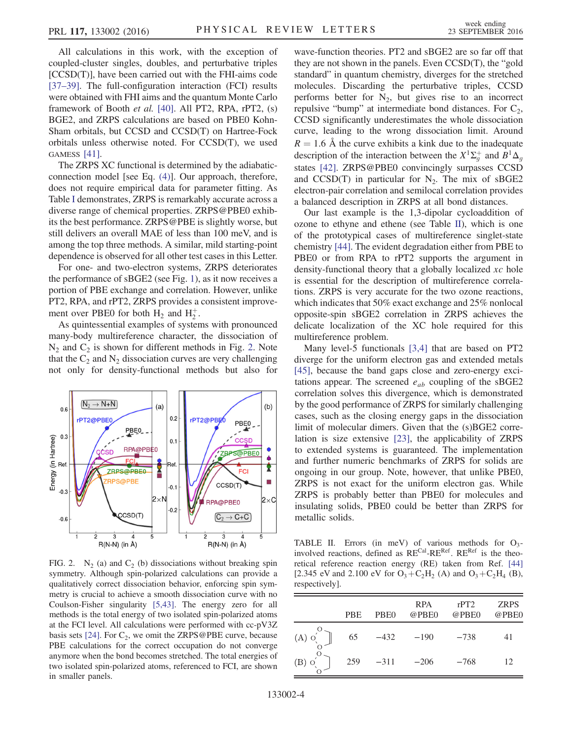All calculations in this work, with the exception of coupled-cluster singles, doubles, and perturbative triples [CCSD(T)], have been carried out with the FHI-aims code [\[37](#page-5-26)–39]. The full-configuration interaction (FCI) results were obtained with FHI aims and the quantum Monte Carlo framework of Booth et al. [\[40\].](#page-5-27) All PT2, RPA, rPT2, (s) BGE2, and ZRPS calculations are based on PBE0 Kohn-Sham orbitals, but CCSD and CCSD(T) on Hartree-Fock orbitals unless otherwise noted. For CCSD(T), we used GAMESS [\[41\].](#page-5-28)

The ZRPS XC functional is determined by the adiabaticconnection model [see Eq. [\(4\)](#page-3-1)]. Our approach, therefore, does not require empirical data for parameter fitting. As Table [I](#page-3-0) demonstrates, ZRPS is remarkably accurate across a diverse range of chemical properties. ZRPS@PBE0 exhibits the best performance. ZRPS@PBE is slightly worse, but still delivers an overall MAE of less than 100 meV, and is among the top three methods. A similar, mild starting-point dependence is observed for all other test cases in this Letter.

For one- and two-electron systems, ZRPS deteriorates the performance of sBGE2 (see Fig. [1\)](#page-2-0), as it now receives a portion of PBE exchange and correlation. However, unlike PT2, RPA, and rPT2, ZRPS provides a consistent improvement over PBE0 for both  $H_2$  and  $H_2^+$ .

As quintessential examples of systems with pronounced many-body multireference character, the dissociation of  $N_2$  and  $C_2$  is shown for different methods in Fig. [2.](#page-4-0) Note that the  $C_2$  and  $N_2$  dissociation curves are very challenging not only for density-functional methods but also for

<span id="page-4-0"></span>

FIG. 2.  $N_2$  (a) and  $C_2$  (b) dissociations without breaking spin symmetry. Although spin-polarized calculations can provide a qualitatively correct dissociation behavior, enforcing spin symmetry is crucial to achieve a smooth dissociation curve with no Coulson-Fisher singularity [\[5,43\].](#page-5-4) The energy zero for all methods is the total energy of two isolated spin-polarized atoms at the FCI level. All calculations were performed with cc-pV3Z basis sets [\[24\].](#page-5-17) For  $C_2$ , we omit the ZRPS@PBE curve, because PBE calculations for the correct occupation do not converge anymore when the bond becomes stretched. The total energies of two isolated spin-polarized atoms, referenced to FCI, are shown in smaller panels.

wave-function theories. PT2 and sBGE2 are so far off that they are not shown in the panels. Even CCSD(T), the "gold standard" in quantum chemistry, diverges for the stretched molecules. Discarding the perturbative triples, CCSD performs better for  $N_2$ , but gives rise to an incorrect repulsive "bump" at intermediate bond distances. For  $C_2$ , CCSD significantly underestimates the whole dissociation curve, leading to the wrong dissociation limit. Around  $R = 1.6$  Å the curve exhibits a kink due to the inadequate description of the interaction between the  $X^1\Sigma_g^+$  and  $B^1\Delta_g$ states [\[42\].](#page-5-29) ZRPS@PBE0 convincingly surpasses CCSD and CCSD(T) in particular for  $N_2$ . The mix of sBGE2 electron-pair correlation and semilocal correlation provides a balanced description in ZRPS at all bond distances.

Our last example is the 1,3-dipolar cycloaddition of ozone to ethyne and ethene (see Table [II\)](#page-4-1), which is one of the prototypical cases of multireference singlet-state chemistry [\[44\]](#page-5-30). The evident degradation either from PBE to PBE0 or from RPA to rPT2 supports the argument in density-functional theory that a globally localized  $xc$  hole is essential for the description of multireference correlations. ZRPS is very accurate for the two ozone reactions, which indicates that 50% exact exchange and 25% nonlocal opposite-spin sBGE2 correlation in ZRPS achieves the delicate localization of the XC hole required for this multireference problem.

Many level-5 functionals [\[3,4\]](#page-5-31) that are based on PT2 diverge for the uniform electron gas and extended metals [\[45\]](#page-5-32), because the band gaps close and zero-energy excitations appear. The screened  $e_{ab}$  coupling of the sBGE2 correlation solves this divergence, which is demonstrated by the good performance of ZRPS for similarly challenging cases, such as the closing energy gaps in the dissociation limit of molecular dimers. Given that the (s)BGE2 correlation is size extensive [\[23\],](#page-5-12) the applicability of ZRPS to extended systems is guaranteed. The implementation and further numeric benchmarks of ZRPS for solids are ongoing in our group. Note, however, that unlike PBE0, ZRPS is not exact for the uniform electron gas. While ZRPS is probably better than PBE0 for molecules and insulating solids, PBE0 could be better than ZRPS for metallic solids.

<span id="page-4-1"></span>TABLE II. Errors (in meV) of various methods for  $O_3$ involved reactions, defined as RECal-RERef. RERef is the theoretical reference reaction energy (RE) taken from Ref. [\[44\]](#page-5-30) [2.345 eV and 2.100 eV for  $O_3 + C_2H_2$  (A) and  $O_3 + C_2H_4$  (B), respectively].

|             | <b>PBE</b> | PBE <sub>0</sub> | <b>RPA</b><br>@PBE0 | rPT2<br>@PBE0 | <b>ZRPS</b><br>@PBE0 |
|-------------|------------|------------------|---------------------|---------------|----------------------|
| $({\rm A})$ | 65         | $-432$           | $-190$              | $-738$        | 41                   |
|             | 259        | $-311$           | $-206$              | $-768$        | 12                   |